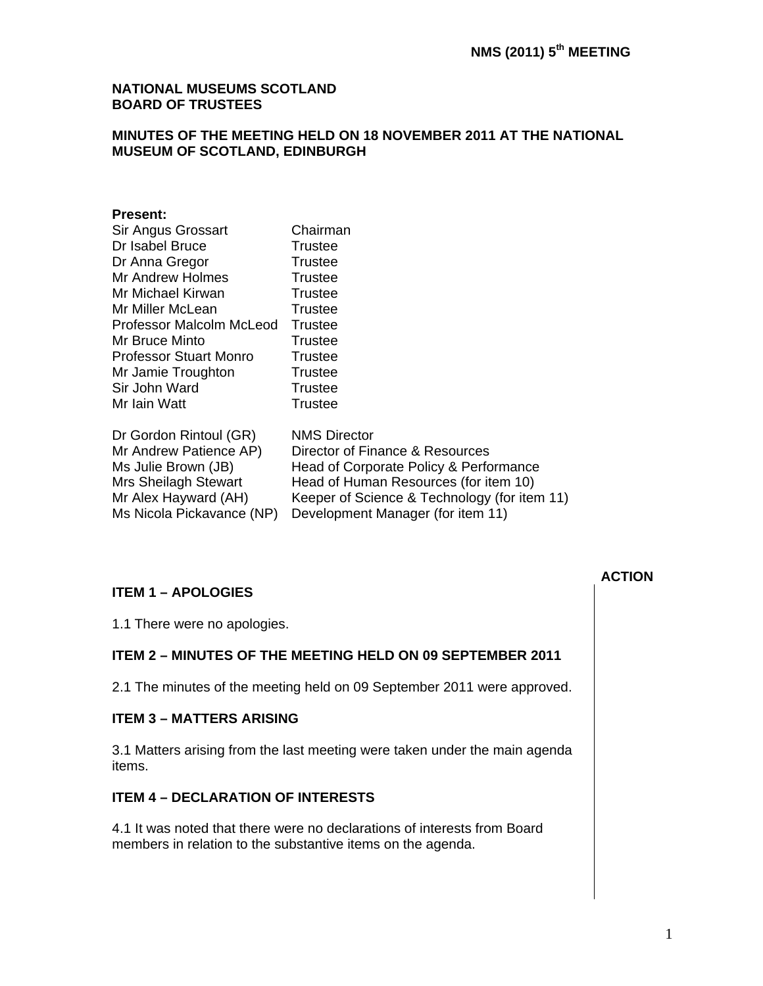#### **NATIONAL MUSEUMS SCOTLAND BOARD OF TRUSTEES**

## **MINUTES OF THE MEETING HELD ON 18 NOVEMBER 2011 AT THE NATIONAL MUSEUM OF SCOTLAND, EDINBURGH**

#### **Present:**

| Sir Angus Grossart            | Chairman                                     |
|-------------------------------|----------------------------------------------|
| Dr Isabel Bruce               | Trustee                                      |
| Dr Anna Gregor                | Trustee                                      |
| Mr Andrew Holmes              | Trustee                                      |
| Mr Michael Kirwan             | Trustee                                      |
| Mr Miller McLean              | Trustee                                      |
| Professor Malcolm McLeod      | Trustee                                      |
| Mr Bruce Minto                | Trustee                                      |
| <b>Professor Stuart Monro</b> | Trustee                                      |
| Mr Jamie Troughton            | Trustee                                      |
| Sir John Ward                 | <b>Trustee</b>                               |
| Mr Iain Watt                  | Trustee                                      |
| Dr Gordon Rintoul (GR)        | <b>NMS Director</b>                          |
| Mr Andrew Patience AP)        | Director of Finance & Resources              |
| Ms Julie Brown (JB)           | Head of Corporate Policy & Performance       |
| Mrs Sheilagh Stewart          | Head of Human Resources (for item 10)        |
| Mr Alex Hayward (AH)          | Keeper of Science & Technology (for item 11) |
| Ms Nicola Pickavance (NP)     | Development Manager (for item 11)            |

# **ITEM 1 – APOLOGIES**

1.1 There were no apologies.

## **ITEM 2 – MINUTES OF THE MEETING HELD ON 09 SEPTEMBER 2011**

2.1 The minutes of the meeting held on 09 September 2011 were approved.

#### **ITEM 3 – MATTERS ARISING**

3.1 Matters arising from the last meeting were taken under the main agenda items.

## **ITEM 4 – DECLARATION OF INTERESTS**

4.1 It was noted that there were no declarations of interests from Board members in relation to the substantive items on the agenda.

**ACTION**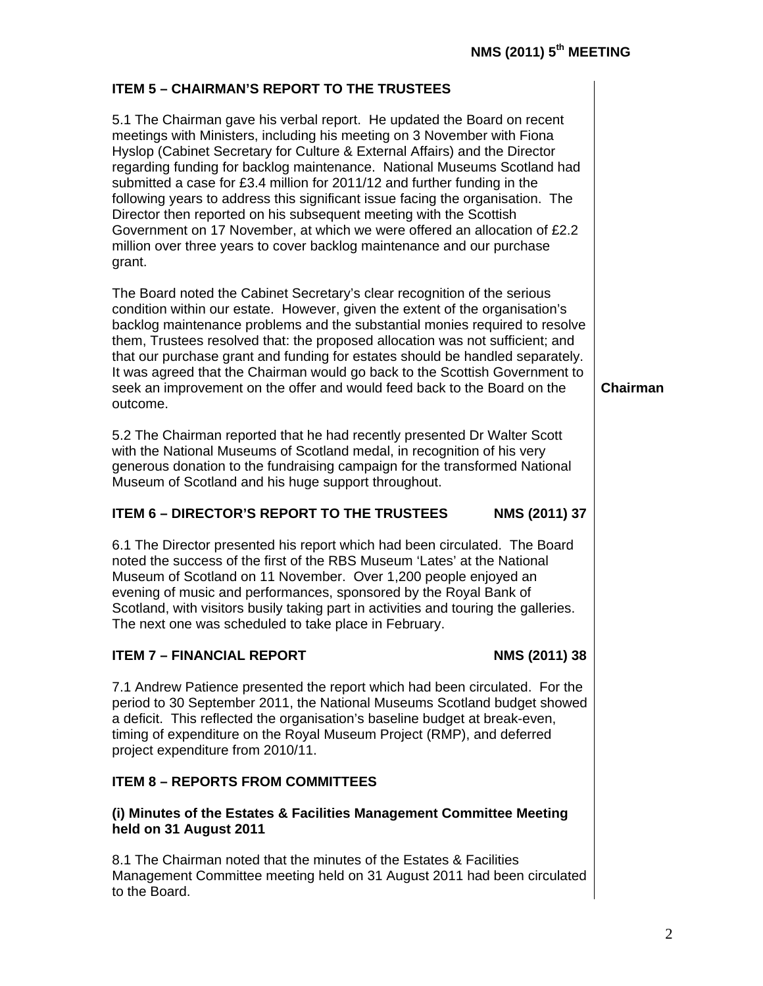**Chairman** 

# **ITEM 5 – CHAIRMAN'S REPORT TO THE TRUSTEES**

5.1 The Chairman gave his verbal report. He updated the Board on recent meetings with Ministers, including his meeting on 3 November with Fiona Hyslop (Cabinet Secretary for Culture & External Affairs) and the Director regarding funding for backlog maintenance. National Museums Scotland had submitted a case for £3.4 million for 2011/12 and further funding in the following years to address this significant issue facing the organisation. The Director then reported on his subsequent meeting with the Scottish Government on 17 November, at which we were offered an allocation of £2.2 million over three years to cover backlog maintenance and our purchase grant.

The Board noted the Cabinet Secretary's clear recognition of the serious condition within our estate. However, given the extent of the organisation's backlog maintenance problems and the substantial monies required to resolve them, Trustees resolved that: the proposed allocation was not sufficient; and that our purchase grant and funding for estates should be handled separately. It was agreed that the Chairman would go back to the Scottish Government to seek an improvement on the offer and would feed back to the Board on the outcome.

5.2 The Chairman reported that he had recently presented Dr Walter Scott with the National Museums of Scotland medal, in recognition of his very generous donation to the fundraising campaign for the transformed National Museum of Scotland and his huge support throughout.

## **ITEM 6 – DIRECTOR'S REPORT TO THE TRUSTEES NMS (2011) 37**

6.1 The Director presented his report which had been circulated. The Board noted the success of the first of the RBS Museum 'Lates' at the National Museum of Scotland on 11 November. Over 1,200 people enjoyed an evening of music and performances, sponsored by the Royal Bank of Scotland, with visitors busily taking part in activities and touring the galleries. The next one was scheduled to take place in February.

# **ITEM 7 – FINANCIAL REPORT NMS (2011) 38**

7.1 Andrew Patience presented the report which had been circulated. For the period to 30 September 2011, the National Museums Scotland budget showed a deficit. This reflected the organisation's baseline budget at break-even, timing of expenditure on the Royal Museum Project (RMP), and deferred project expenditure from 2010/11.

# **ITEM 8 – REPORTS FROM COMMITTEES**

## **(i) Minutes of the Estates & Facilities Management Committee Meeting held on 31 August 2011**

8.1 The Chairman noted that the minutes of the Estates & Facilities Management Committee meeting held on 31 August 2011 had been circulated to the Board.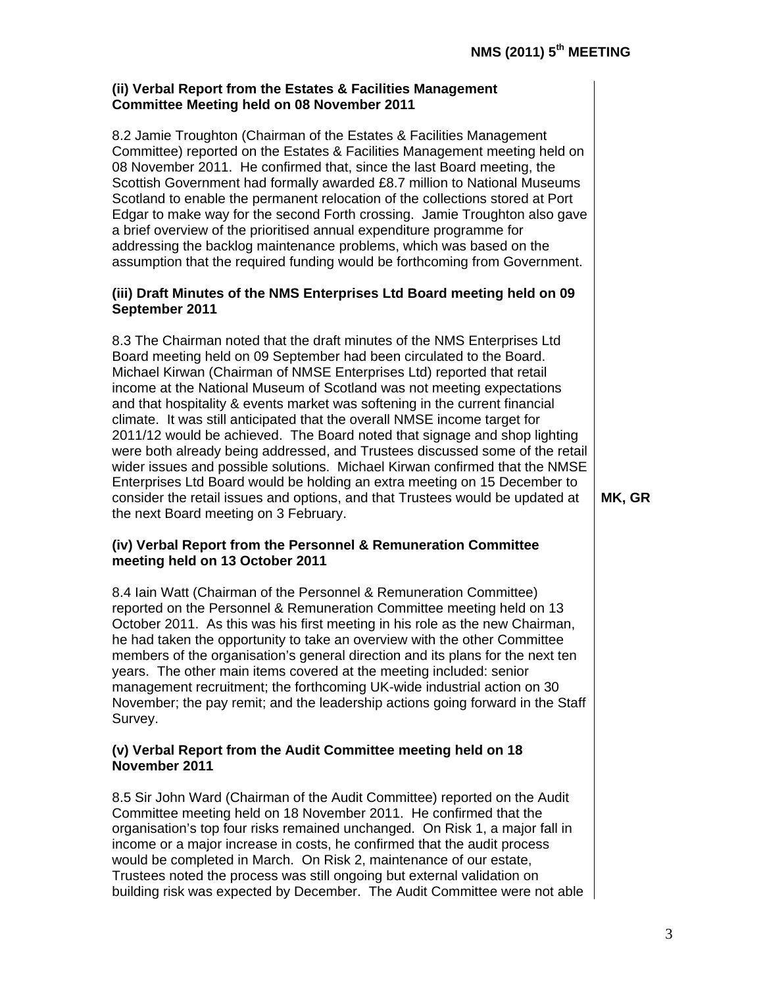#### **(ii) Verbal Report from the Estates & Facilities Management Committee Meeting held on 08 November 2011**

8.2 Jamie Troughton (Chairman of the Estates & Facilities Management Committee) reported on the Estates & Facilities Management meeting held on 08 November 2011. He confirmed that, since the last Board meeting, the Scottish Government had formally awarded £8.7 million to National Museums Scotland to enable the permanent relocation of the collections stored at Port Edgar to make way for the second Forth crossing. Jamie Troughton also gave a brief overview of the prioritised annual expenditure programme for addressing the backlog maintenance problems, which was based on the assumption that the required funding would be forthcoming from Government.

#### **(iii) Draft Minutes of the NMS Enterprises Ltd Board meeting held on 09 September 2011**

8.3 The Chairman noted that the draft minutes of the NMS Enterprises Ltd Board meeting held on 09 September had been circulated to the Board. Michael Kirwan (Chairman of NMSE Enterprises Ltd) reported that retail income at the National Museum of Scotland was not meeting expectations and that hospitality & events market was softening in the current financial climate. It was still anticipated that the overall NMSE income target for 2011/12 would be achieved. The Board noted that signage and shop lighting were both already being addressed, and Trustees discussed some of the retail wider issues and possible solutions. Michael Kirwan confirmed that the NMSE Enterprises Ltd Board would be holding an extra meeting on 15 December to consider the retail issues and options, and that Trustees would be updated at the next Board meeting on 3 February.

## **(iv) Verbal Report from the Personnel & Remuneration Committee meeting held on 13 October 2011**

8.4 Iain Watt (Chairman of the Personnel & Remuneration Committee) reported on the Personnel & Remuneration Committee meeting held on 13 October 2011. As this was his first meeting in his role as the new Chairman, he had taken the opportunity to take an overview with the other Committee members of the organisation's general direction and its plans for the next ten years. The other main items covered at the meeting included: senior management recruitment; the forthcoming UK-wide industrial action on 30 November; the pay remit; and the leadership actions going forward in the Staff Survey.

#### **(v) Verbal Report from the Audit Committee meeting held on 18 November 2011**

8.5 Sir John Ward (Chairman of the Audit Committee) reported on the Audit Committee meeting held on 18 November 2011. He confirmed that the organisation's top four risks remained unchanged. On Risk 1, a major fall in income or a major increase in costs, he confirmed that the audit process would be completed in March. On Risk 2, maintenance of our estate, Trustees noted the process was still ongoing but external validation on building risk was expected by December. The Audit Committee were not able

**MK, GR**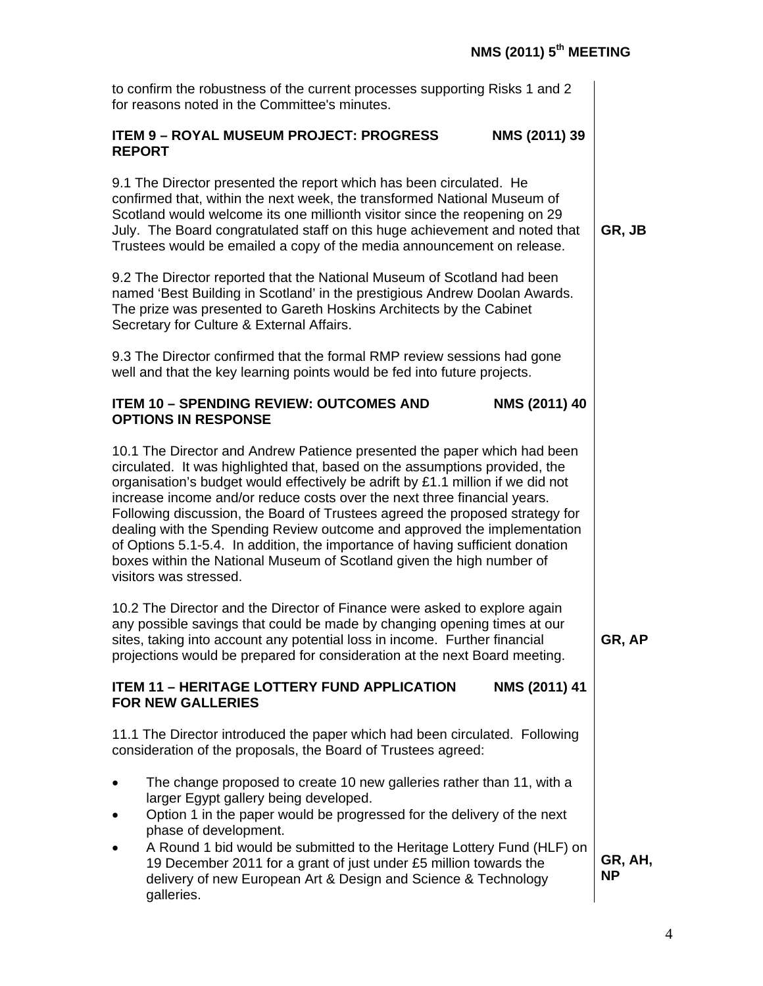| to confirm the robustness of the current processes supporting Risks 1 and 2<br>for reasons noted in the Committee's minutes.                                                                                                                                                                                                                                                                                                                                                                                                                                                                                                                                           |                      |
|------------------------------------------------------------------------------------------------------------------------------------------------------------------------------------------------------------------------------------------------------------------------------------------------------------------------------------------------------------------------------------------------------------------------------------------------------------------------------------------------------------------------------------------------------------------------------------------------------------------------------------------------------------------------|----------------------|
| <b>ITEM 9 - ROYAL MUSEUM PROJECT: PROGRESS</b><br>NMS (2011) 39<br><b>REPORT</b>                                                                                                                                                                                                                                                                                                                                                                                                                                                                                                                                                                                       |                      |
| 9.1 The Director presented the report which has been circulated. He<br>confirmed that, within the next week, the transformed National Museum of<br>Scotland would welcome its one millionth visitor since the reopening on 29<br>July. The Board congratulated staff on this huge achievement and noted that<br>Trustees would be emailed a copy of the media announcement on release.                                                                                                                                                                                                                                                                                 |                      |
| 9.2 The Director reported that the National Museum of Scotland had been<br>named 'Best Building in Scotland' in the prestigious Andrew Doolan Awards.<br>The prize was presented to Gareth Hoskins Architects by the Cabinet<br>Secretary for Culture & External Affairs.                                                                                                                                                                                                                                                                                                                                                                                              |                      |
| 9.3 The Director confirmed that the formal RMP review sessions had gone<br>well and that the key learning points would be fed into future projects.                                                                                                                                                                                                                                                                                                                                                                                                                                                                                                                    |                      |
| NMS (2011) 40<br><b>ITEM 10 - SPENDING REVIEW: OUTCOMES AND</b><br><b>OPTIONS IN RESPONSE</b>                                                                                                                                                                                                                                                                                                                                                                                                                                                                                                                                                                          |                      |
| 10.1 The Director and Andrew Patience presented the paper which had been<br>circulated. It was highlighted that, based on the assumptions provided, the<br>organisation's budget would effectively be adrift by £1.1 million if we did not<br>increase income and/or reduce costs over the next three financial years.<br>Following discussion, the Board of Trustees agreed the proposed strategy for<br>dealing with the Spending Review outcome and approved the implementation<br>of Options 5.1-5.4. In addition, the importance of having sufficient donation<br>boxes within the National Museum of Scotland given the high number of<br>visitors was stressed. |                      |
| 10.2 The Director and the Director of Finance were asked to explore again<br>any possible savings that could be made by changing opening times at our<br>sites, taking into account any potential loss in income. Further financial<br>projections would be prepared for consideration at the next Board meeting.                                                                                                                                                                                                                                                                                                                                                      | GR, AP               |
| NMS (2011) 41<br><b>ITEM 11 - HERITAGE LOTTERY FUND APPLICATION</b><br><b>FOR NEW GALLERIES</b>                                                                                                                                                                                                                                                                                                                                                                                                                                                                                                                                                                        |                      |
| 11.1 The Director introduced the paper which had been circulated. Following<br>consideration of the proposals, the Board of Trustees agreed:                                                                                                                                                                                                                                                                                                                                                                                                                                                                                                                           |                      |
| The change proposed to create 10 new galleries rather than 11, with a<br>larger Egypt gallery being developed.<br>Option 1 in the paper would be progressed for the delivery of the next<br>phase of development.<br>A Round 1 bid would be submitted to the Heritage Lottery Fund (HLF) on                                                                                                                                                                                                                                                                                                                                                                            |                      |
| 19 December 2011 for a grant of just under £5 million towards the<br>delivery of new European Art & Design and Science & Technology<br>galleries.                                                                                                                                                                                                                                                                                                                                                                                                                                                                                                                      | GR, AH,<br><b>NP</b> |